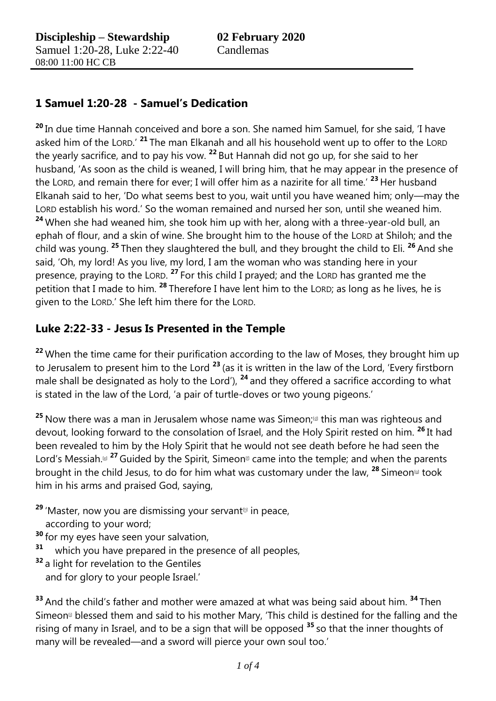## **1 Samuel 1:20-28 - Samuel's Dedication**

**<sup>20</sup>** In due time Hannah conceived and bore a son. She named him Samuel, for she said, 'I have asked him of the LORD.' **<sup>21</sup>** The man Elkanah and all his household went up to offer to the LORD the yearly sacrifice, and to pay his vow. **<sup>22</sup>** But Hannah did not go up, for she said to her husband, 'As soon as the child is weaned, I will bring him, that he may appear in the presence of the LORD, and remain there for ever; I will offer him as a nazirite for all time.' **<sup>23</sup>** Her husband Elkanah said to her, 'Do what seems best to you, wait until you have weaned him; only—may the LORD establish his word.' So the woman remained and nursed her son, until she weaned him. **<sup>24</sup>** When she had weaned him, she took him up with her, along with a three-year-old bull, an ephah of flour, and a skin of wine. She brought him to the house of the LORD at Shiloh; and the child was young. **<sup>25</sup>** Then they slaughtered the bull, and they brought the child to Eli. **<sup>26</sup>** And she said, 'Oh, my lord! As you live, my lord, I am the woman who was standing here in your presence, praying to the LORD. **<sup>27</sup>** For this child I prayed; and the LORD has granted me the petition that I made to him. **<sup>28</sup>** Therefore I have lent him to the LORD; as long as he lives, he is given to the LORD.' She left him there for the LORD.

## **Luke 2:22-33 - Jesus Is Presented in the Temple**

<sup>22</sup> When the time came for their purification according to the law of Moses, they brought him up to Jerusalem to present him to the Lord **<sup>23</sup>** (as it is written in the law of the Lord, 'Every firstborn male shall be designated as holy to the Lord'), **<sup>24</sup>** and they offered a sacrifice according to what is stated in the law of the Lord, 'a pair of turtle-doves or two young pigeons.'

25 Now there was a man in Jerusalem whose name was Simeon;<sup>[\[d\]](https://beta.biblegateway.com/passage/?search=Luke+2&version=NRSVACE#fen-NRSVACE-29262d)</sup> this man was righteous and devout, looking forward to the consolation of Israel, and the Holy Spirit rested on him. **<sup>26</sup>** It had been revealed to him by the Holy Spirit that he would not see death before he had seen the Lord's Messiah.<sup>[\[e\]](https://beta.biblegateway.com/passage/?search=Luke+2&version=NRSVACE#fen-NRSVACE-29263e)</sup> <sup>27</sup> Guided by the Spirit, Simeon<sup>[1]</sup> came into the temple; and when the parents brought in the child Jesus, to do for him what was customary under the law, <sup>28</sup> Simeon<sup>®</sup> took him in his arms and praised God, saying,

- <sup>29</sup> 'Master, now you are dismissing your servant<sup>™</sup> in peace, according to your word;
- **<sup>30</sup>** for my eyes have seen your salvation,
- **31** which you have prepared in the presence of all peoples,
- **<sup>32</sup>** a light for revelation to the Gentiles and for glory to your people Israel.'

**<sup>33</sup>** And the child's father and mother were amazed at what was being said about him. **<sup>34</sup>** Then Simeon<sup>®</sup> blessed them and said to his mother Mary, 'This child is destined for the falling and the rising of many in Israel, and to be a sign that will be opposed **<sup>35</sup>** so that the inner thoughts of many will be revealed—and a sword will pierce your own soul too.'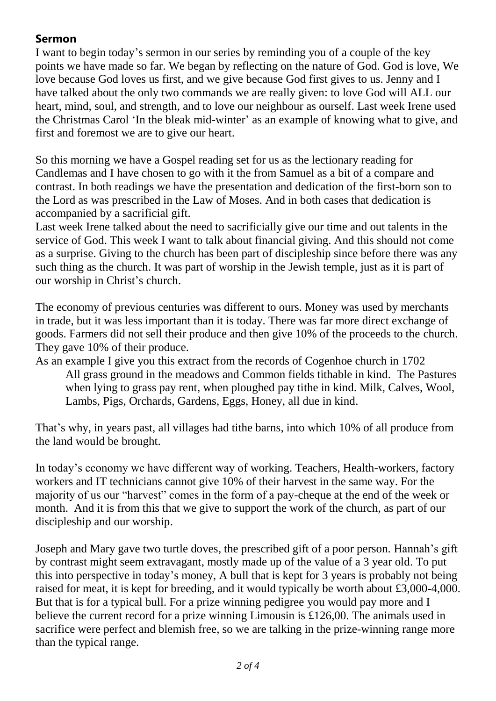## **Sermon**

I want to begin today's sermon in our series by reminding you of a couple of the key points we have made so far. We began by reflecting on the nature of God. God is love, We love because God loves us first, and we give because God first gives to us. Jenny and I have talked about the only two commands we are really given: to love God will ALL our heart, mind, soul, and strength, and to love our neighbour as ourself. Last week Irene used the Christmas Carol 'In the bleak mid-winter' as an example of knowing what to give, and first and foremost we are to give our heart.

So this morning we have a Gospel reading set for us as the lectionary reading for Candlemas and I have chosen to go with it the from Samuel as a bit of a compare and contrast. In both readings we have the presentation and dedication of the first-born son to the Lord as was prescribed in the Law of Moses. And in both cases that dedication is accompanied by a sacrificial gift.

Last week Irene talked about the need to sacrificially give our time and out talents in the service of God. This week I want to talk about financial giving. And this should not come as a surprise. Giving to the church has been part of discipleship since before there was any such thing as the church. It was part of worship in the Jewish temple, just as it is part of our worship in Christ's church.

The economy of previous centuries was different to ours. Money was used by merchants in trade, but it was less important than it is today. There was far more direct exchange of goods. Farmers did not sell their produce and then give 10% of the proceeds to the church. They gave 10% of their produce.

As an example I give you this extract from the records of Cogenhoe church in 1702 All grass ground in the meadows and Common fields tithable in kind. The Pastures when lying to grass pay rent, when ploughed pay tithe in kind. Milk, Calves, Wool, Lambs, Pigs, Orchards, Gardens, Eggs, Honey, all due in kind.

That's why, in years past, all villages had tithe barns, into which 10% of all produce from the land would be brought.

In today's economy we have different way of working. Teachers, Health-workers, factory workers and IT technicians cannot give 10% of their harvest in the same way. For the majority of us our "harvest" comes in the form of a pay-cheque at the end of the week or month. And it is from this that we give to support the work of the church, as part of our discipleship and our worship.

Joseph and Mary gave two turtle doves, the prescribed gift of a poor person. Hannah's gift by contrast might seem extravagant, mostly made up of the value of a 3 year old. To put this into perspective in today's money, A bull that is kept for 3 years is probably not being raised for meat, it is kept for breeding, and it would typically be worth about £3,000-4,000. But that is for a typical bull. For a prize winning pedigree you would pay more and I believe the current record for a prize winning Limousin is £126,00. The animals used in sacrifice were perfect and blemish free, so we are talking in the prize-winning range more than the typical range.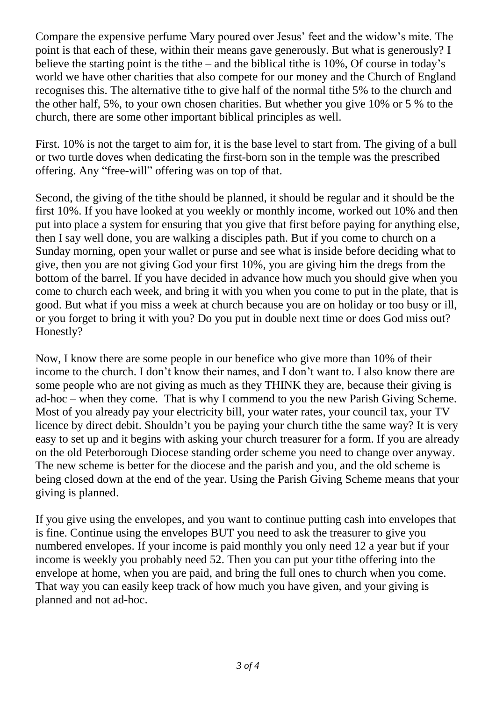Compare the expensive perfume Mary poured over Jesus' feet and the widow's mite. The point is that each of these, within their means gave generously. But what is generously? I believe the starting point is the tithe – and the biblical tithe is 10%, Of course in today's world we have other charities that also compete for our money and the Church of England recognises this. The alternative tithe to give half of the normal tithe 5% to the church and the other half, 5%, to your own chosen charities. But whether you give 10% or 5 % to the church, there are some other important biblical principles as well.

First. 10% is not the target to aim for, it is the base level to start from. The giving of a bull or two turtle doves when dedicating the first-born son in the temple was the prescribed offering. Any "free-will" offering was on top of that.

Second, the giving of the tithe should be planned, it should be regular and it should be the first 10%. If you have looked at you weekly or monthly income, worked out 10% and then put into place a system for ensuring that you give that first before paying for anything else, then I say well done, you are walking a disciples path. But if you come to church on a Sunday morning, open your wallet or purse and see what is inside before deciding what to give, then you are not giving God your first 10%, you are giving him the dregs from the bottom of the barrel. If you have decided in advance how much you should give when you come to church each week, and bring it with you when you come to put in the plate, that is good. But what if you miss a week at church because you are on holiday or too busy or ill, or you forget to bring it with you? Do you put in double next time or does God miss out? Honestly?

Now, I know there are some people in our benefice who give more than 10% of their income to the church. I don't know their names, and I don't want to. I also know there are some people who are not giving as much as they THINK they are, because their giving is ad-hoc – when they come. That is why I commend to you the new Parish Giving Scheme. Most of you already pay your electricity bill, your water rates, your council tax, your TV licence by direct debit. Shouldn't you be paying your church tithe the same way? It is very easy to set up and it begins with asking your church treasurer for a form. If you are already on the old Peterborough Diocese standing order scheme you need to change over anyway. The new scheme is better for the diocese and the parish and you, and the old scheme is being closed down at the end of the year. Using the Parish Giving Scheme means that your giving is planned.

If you give using the envelopes, and you want to continue putting cash into envelopes that is fine. Continue using the envelopes BUT you need to ask the treasurer to give you numbered envelopes. If your income is paid monthly you only need 12 a year but if your income is weekly you probably need 52. Then you can put your tithe offering into the envelope at home, when you are paid, and bring the full ones to church when you come. That way you can easily keep track of how much you have given, and your giving is planned and not ad-hoc.